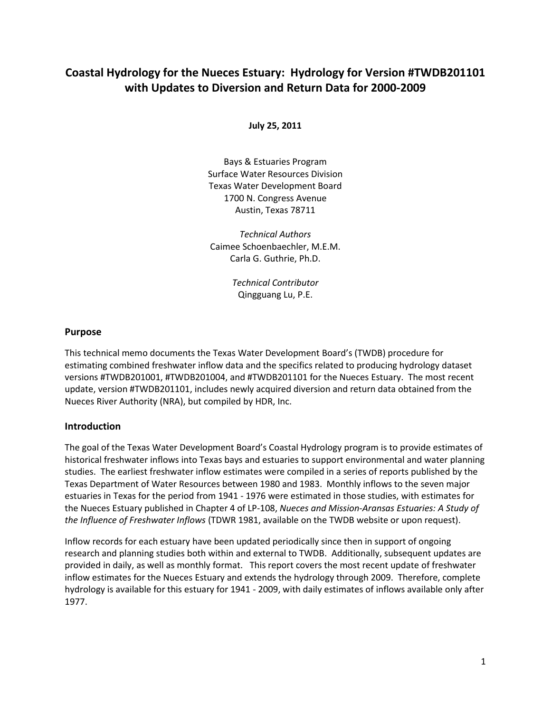# **Coastal Hydrology for the Nueces Estuary: Hydrology for Version #TWDB201101 with Updates to Diversion and Return Data for 2000-2009**

**July 25, 2011**

Bays & Estuaries Program Surface Water Resources Division Texas Water Development Board 1700 N. Congress Avenue Austin, Texas 78711

*Technical Authors* Caimee Schoenbaechler, M.E.M. Carla G. Guthrie, Ph.D.

> *Technical Contributor* Qingguang Lu, P.E.

# **Purpose**

This technical memo documents the Texas Water Development Board's (TWDB) procedure for estimating combined freshwater inflow data and the specifics related to producing hydrology dataset versions #TWDB201001, #TWDB201004, and #TWDB201101 for the Nueces Estuary. The most recent update, version #TWDB201101, includes newly acquired diversion and return data obtained from the Nueces River Authority (NRA), but compiled by HDR, Inc.

#### **Introduction**

The goal of the Texas Water Development Board's Coastal Hydrology program is to provide estimates of historical freshwater inflows into Texas bays and estuaries to support environmental and water planning studies. The earliest freshwater inflow estimates were compiled in a series of reports published by the Texas Department of Water Resources between 1980 and 1983. Monthly inflows to the seven major estuaries in Texas for the period from 1941 - 1976 were estimated in those studies, with estimates for the Nueces Estuary published in Chapter 4 of LP-108, *Nueces and Mission-Aransas Estuaries: A Study of the Influence of Freshwater Inflows* (TDWR 1981, available on the TWDB website or upon request).

Inflow records for each estuary have been updated periodically since then in support of ongoing research and planning studies both within and external to TWDB. Additionally, subsequent updates are provided in daily, as well as monthly format. This report covers the most recent update of freshwater inflow estimates for the Nueces Estuary and extends the hydrology through 2009. Therefore, complete hydrology is available for this estuary for 1941 - 2009, with daily estimates of inflows available only after 1977.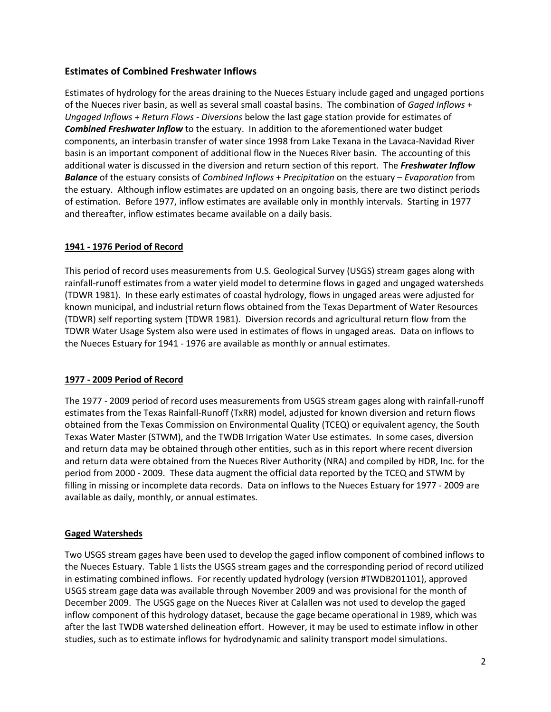# **Estimates of Combined Freshwater Inflows**

Estimates of hydrology for the areas draining to the Nueces Estuary include gaged and ungaged portions of the Nueces river basin, as well as several small coastal basins. The combination of *Gaged Inflows* + *Ungaged Inflows* + *Return Flows* - *Diversions* below the last gage station provide for estimates of *Combined Freshwater Inflow* to the estuary. In addition to the aforementioned water budget components, an interbasin transfer of water since 1998 from Lake Texana in the Lavaca-Navidad River basin is an important component of additional flow in the Nueces River basin. The accounting of this additional water is discussed in the diversion and return section of this report. The *Freshwater Inflow Balance* of the estuary consists of *Combined Inflows* + *Precipitation* on the estuary – *Evaporation* from the estuary. Although inflow estimates are updated on an ongoing basis, there are two distinct periods of estimation. Before 1977, inflow estimates are available only in monthly intervals. Starting in 1977 and thereafter, inflow estimates became available on a daily basis.

# **1941 - 1976 Period of Record**

This period of record uses measurements from U.S. Geological Survey (USGS) stream gages along with rainfall-runoff estimates from a water yield model to determine flows in gaged and ungaged watersheds (TDWR 1981). In these early estimates of coastal hydrology, flows in ungaged areas were adjusted for known municipal, and industrial return flows obtained from the Texas Department of Water Resources (TDWR) self reporting system (TDWR 1981). Diversion records and agricultural return flow from the TDWR Water Usage System also were used in estimates of flows in ungaged areas. Data on inflows to the Nueces Estuary for 1941 - 1976 are available as monthly or annual estimates.

#### **1977 - 2009 Period of Record**

The 1977 - 2009 period of record uses measurements from USGS stream gages along with rainfall-runoff estimates from the Texas Rainfall-Runoff (TxRR) model, adjusted for known diversion and return flows obtained from the Texas Commission on Environmental Quality (TCEQ) or equivalent agency, the South Texas Water Master (STWM), and the TWDB Irrigation Water Use estimates. In some cases, diversion and return data may be obtained through other entities, such as in this report where recent diversion and return data were obtained from the Nueces River Authority (NRA) and compiled by HDR, Inc. for the period from 2000 - 2009. These data augment the official data reported by the TCEQ and STWM by filling in missing or incomplete data records. Data on inflows to the Nueces Estuary for 1977 - 2009 are available as daily, monthly, or annual estimates.

#### **Gaged Watersheds**

Two USGS stream gages have been used to develop the gaged inflow component of combined inflows to the Nueces Estuary. Table 1 lists the USGS stream gages and the corresponding period of record utilized in estimating combined inflows. For recently updated hydrology (version #TWDB201101), approved USGS stream gage data was available through November 2009 and was provisional for the month of December 2009. The USGS gage on the Nueces River at Calallen was not used to develop the gaged inflow component of this hydrology dataset, because the gage became operational in 1989, which was after the last TWDB watershed delineation effort. However, it may be used to estimate inflow in other studies, such as to estimate inflows for hydrodynamic and salinity transport model simulations.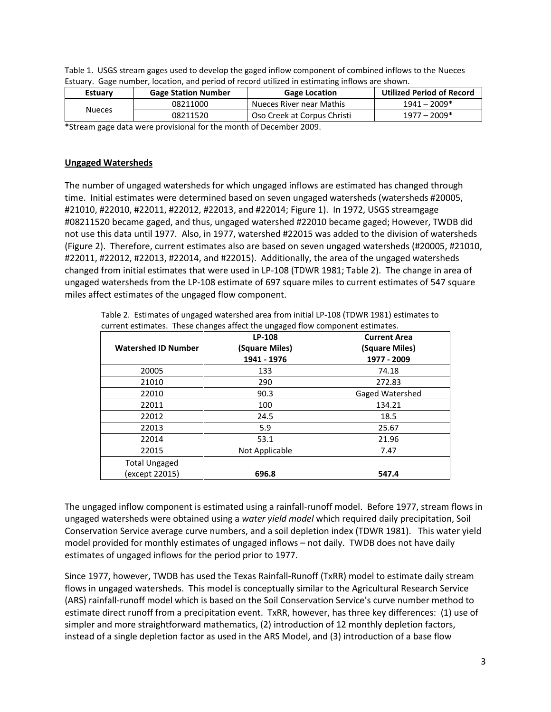| Table 1. USGS stream gages used to develop the gaged inflow component of combined inflows to the Nueces |
|---------------------------------------------------------------------------------------------------------|
| Estuary. Gage number, location, and period of record utilized in estimating inflows are shown.          |

| <b>Estuary</b> | <b>Gage Station Number</b> | <b>Gage Location</b>        | <b>Utilized Period of Record</b> |  |  |  |  |
|----------------|----------------------------|-----------------------------|----------------------------------|--|--|--|--|
|                | 08211000                   | Nueces River near Mathis    | $1941 - 2009*$                   |  |  |  |  |
| <b>Nueces</b>  | 08211520                   | Oso Creek at Corpus Christi | $1977 - 2009*$                   |  |  |  |  |
| $-1$ . $-1$    |                            |                             |                                  |  |  |  |  |

\*Stream gage data were provisional for the month of December 2009.

#### **Ungaged Watersheds**

The number of ungaged watersheds for which ungaged inflows are estimated has changed through time. Initial estimates were determined based on seven ungaged watersheds (watersheds #20005, #21010, #22010, #22011, #22012, #22013, and #22014; Figure 1). In 1972, USGS streamgage #08211520 became gaged, and thus, ungaged watershed #22010 became gaged; However, TWDB did not use this data until 1977. Also, in 1977, watershed #22015 was added to the division of watersheds (Figure 2). Therefore, current estimates also are based on seven ungaged watersheds (#20005, #21010, #22011, #22012, #22013, #22014, and #22015). Additionally, the area of the ungaged watersheds changed from initial estimates that were used in LP-108 (TDWR 1981; Table 2). The change in area of ungaged watersheds from the LP-108 estimate of 697 square miles to current estimates of 547 square miles affect estimates of the ungaged flow component.

Table 2. Estimates of ungaged watershed area from initial LP-108 (TDWR 1981) estimates to current estimates. These changes affect the ungaged flow component estimates.

| <b>Watershed ID Number</b>             | LP-108<br>(Square Miles)<br>1941 - 1976 | <b>Current Area</b><br>(Square Miles)<br>1977 - 2009 |
|----------------------------------------|-----------------------------------------|------------------------------------------------------|
| 20005                                  | 133                                     | 74.18                                                |
| 21010                                  | 290                                     | 272.83                                               |
| 22010                                  | 90.3                                    | Gaged Watershed                                      |
| 22011                                  | 100                                     | 134.21                                               |
| 22012                                  | 24.5                                    | 18.5                                                 |
| 22013                                  | 5.9                                     | 25.67                                                |
| 22014                                  | 53.1                                    | 21.96                                                |
| 22015                                  | Not Applicable                          | 7.47                                                 |
| <b>Total Ungaged</b><br>(except 22015) | 696.8                                   | 547.4                                                |

The ungaged inflow component is estimated using a rainfall-runoff model. Before 1977, stream flows in ungaged watersheds were obtained using a *water yield model* which required daily precipitation, Soil Conservation Service average curve numbers, and a soil depletion index (TDWR 1981). This water yield model provided for monthly estimates of ungaged inflows – not daily. TWDB does not have daily estimates of ungaged inflows for the period prior to 1977.

Since 1977, however, TWDB has used the Texas Rainfall-Runoff (TxRR) model to estimate daily stream flows in ungaged watersheds. This model is conceptually similar to the Agricultural Research Service (ARS) rainfall-runoff model which is based on the Soil Conservation Service's curve number method to estimate direct runoff from a precipitation event. TxRR, however, has three key differences: (1) use of simpler and more straightforward mathematics, (2) introduction of 12 monthly depletion factors, instead of a single depletion factor as used in the ARS Model, and (3) introduction of a base flow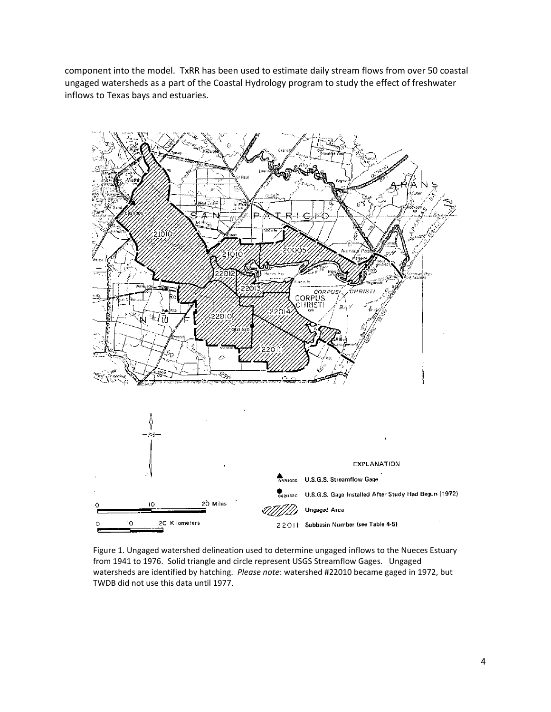component into the model. TxRR has been used to estimate daily stream flows from over 50 coastal ungaged watersheds as a part of the Coastal Hydrology program to study the effect of freshwater inflows to Texas bays and estuaries.



Figure 1. Ungaged watershed delineation used to determine ungaged inflows to the Nueces Estuary from 1941 to 1976. Solid triangle and circle represent USGS Streamflow Gages. Ungaged watersheds are identified by hatching. *Please note*: watershed #22010 became gaged in 1972, but TWDB did not use this data until 1977.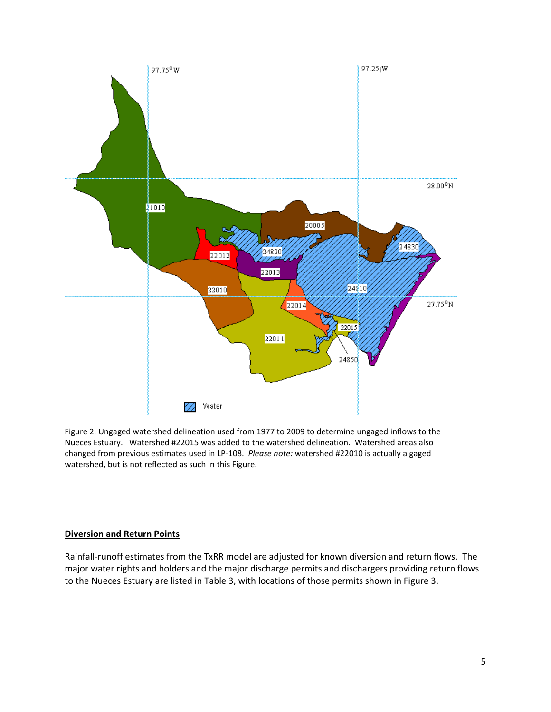

Figure 2. Ungaged watershed delineation used from 1977 to 2009 to determine ungaged inflows to the Nueces Estuary. Watershed #22015 was added to the watershed delineation. Watershed areas also changed from previous estimates used in LP-108. *Please note:* watershed #22010 is actually a gaged watershed, but is not reflected as such in this Figure.

## **Diversion and Return Points**

Rainfall-runoff estimates from the TxRR model are adjusted for known diversion and return flows. The major water rights and holders and the major discharge permits and dischargers providing return flows to the Nueces Estuary are listed in Table 3, with locations of those permits shown in Figure 3.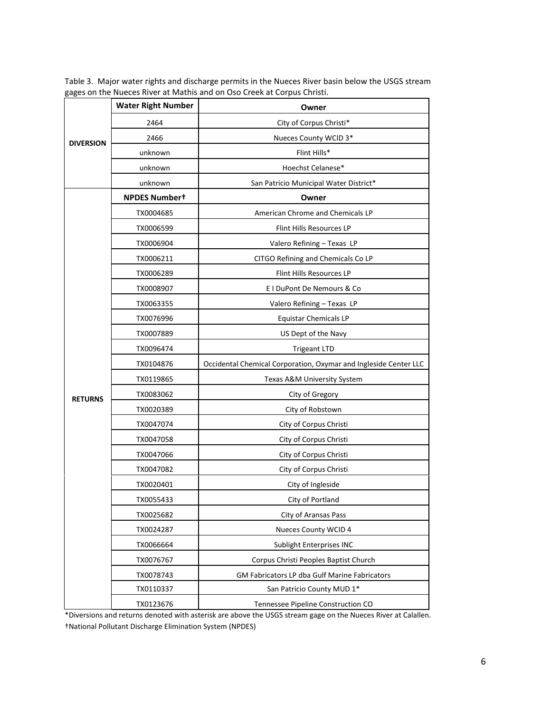|                  | <b>Water Right Number</b> | Owner                                                            |  |  |  |
|------------------|---------------------------|------------------------------------------------------------------|--|--|--|
|                  | 2464                      | City of Corpus Christi*                                          |  |  |  |
| <b>DIVERSION</b> | 2466                      | Nueces County WCID 3*                                            |  |  |  |
|                  | unknown                   | Flint Hills*                                                     |  |  |  |
|                  | unknown                   | Hoechst Celanese*                                                |  |  |  |
|                  | unknown                   | San Patricio Municipal Water District*                           |  |  |  |
|                  | <b>NPDES Numbert</b>      | Owner                                                            |  |  |  |
|                  | TX0004685                 | American Chrome and Chemicals LP                                 |  |  |  |
|                  | TX0006599                 | Flint Hills Resources LP                                         |  |  |  |
|                  | TX0006904                 | Valero Refining - Texas LP                                       |  |  |  |
|                  | TX0006211                 | CITGO Refining and Chemicals Co LP                               |  |  |  |
|                  | TX0006289                 | Flint Hills Resources LP                                         |  |  |  |
|                  | TX0008907                 | E I DuPont De Nemours & Co                                       |  |  |  |
|                  | TX0063355                 | Valero Refining - Texas LP                                       |  |  |  |
|                  | TX0076996                 | <b>Equistar Chemicals LP</b>                                     |  |  |  |
|                  | TX0007889                 | US Dept of the Navy                                              |  |  |  |
|                  | TX0096474                 | <b>Trigeant LTD</b>                                              |  |  |  |
|                  | TX0104876                 | Occidental Chemical Corporation, Oxymar and Ingleside Center LLC |  |  |  |
|                  | TX0119865                 | Texas A&M University System                                      |  |  |  |
| <b>RETURNS</b>   | TX0083062                 | City of Gregory                                                  |  |  |  |
|                  | TX0020389                 | City of Robstown                                                 |  |  |  |
|                  | TX0047074                 | City of Corpus Christi                                           |  |  |  |
|                  | TX0047058                 | City of Corpus Christi                                           |  |  |  |
|                  | TX0047066                 | City of Corpus Christi                                           |  |  |  |
|                  | TX0047082                 | City of Corpus Christi                                           |  |  |  |
|                  | TX0020401                 | City of Ingleside                                                |  |  |  |
|                  | TX0055433                 | City of Portland                                                 |  |  |  |
|                  | TX0025682                 | City of Aransas Pass                                             |  |  |  |
|                  | TX0024287                 | Nueces County WCID 4                                             |  |  |  |
|                  | TX0066664                 | Sublight Enterprises INC                                         |  |  |  |
|                  | TX0076767                 | Corpus Christi Peoples Baptist Church                            |  |  |  |
|                  | TX0078743                 | <b>GM Fabricators LP dba Gulf Marine Fabricators</b>             |  |  |  |
|                  | TX0110337                 | San Patricio County MUD 1*                                       |  |  |  |
|                  | TX0123676                 | Tennessee Pipeline Construction CO                               |  |  |  |

Table 3. Major water rights and discharge permits in the Nueces River basin below the USGS stream gages on the Nueces River at Mathis and on Oso Creek at Corpus Christi.

\*Diversions and returns denoted with asterisk are above the USGS stream gage on the Nueces River at Calallen. †National Pollutant Discharge Elimination System (NPDES)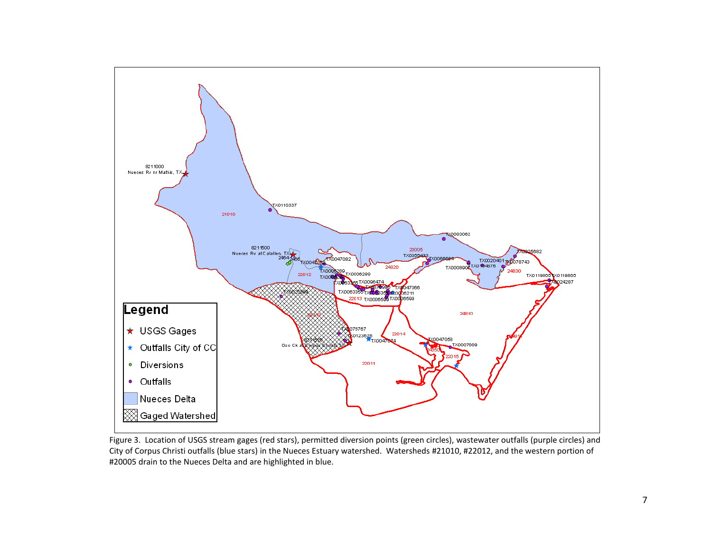

Figure 3. Location of USGS stream gages (red stars), permitted diversion points (green circles), wastewater outfalls (purple circles) and City of Corpus Christi outfalls (blue stars) in the Nueces Estuary watershed. Watersheds #21010, #22012, and the western portion of #20005 drain to the Nueces Delta and are highlighted in blue.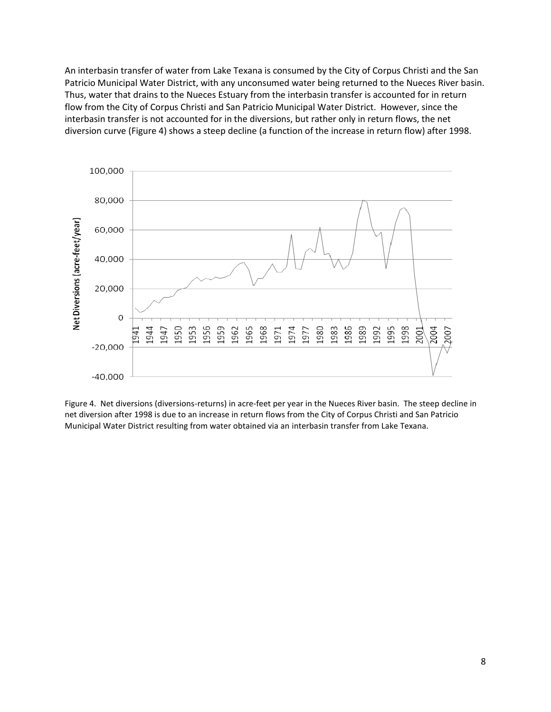An interbasin transfer of water from Lake Texana is consumed by the City of Corpus Christi and the San Patricio Municipal Water District, with any unconsumed water being returned to the Nueces River basin. Thus, water that drains to the Nueces Estuary from the interbasin transfer is accounted for in return flow from the City of Corpus Christi and San Patricio Municipal Water District. However, since the interbasin transfer is not accounted for in the diversions, but rather only in return flows, the net diversion curve (Figure 4) shows a steep decline (a function of the increase in return flow) after 1998.



Figure 4. Net diversions (diversions-returns) in acre-feet per year in the Nueces River basin. The steep decline in net diversion after 1998 is due to an increase in return flows from the City of Corpus Christi and San Patricio Municipal Water District resulting from water obtained via an interbasin transfer from Lake Texana.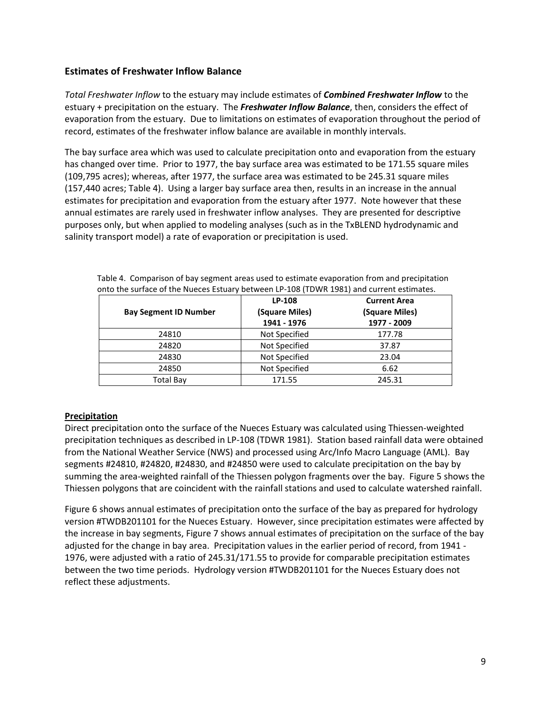# **Estimates of Freshwater Inflow Balance**

*Total Freshwater Inflow* to the estuary may include estimates of *Combined Freshwater Inflow* to the estuary + precipitation on the estuary. The *Freshwater Inflow Balance*, then, considers the effect of evaporation from the estuary. Due to limitations on estimates of evaporation throughout the period of record, estimates of the freshwater inflow balance are available in monthly intervals.

The bay surface area which was used to calculate precipitation onto and evaporation from the estuary has changed over time. Prior to 1977, the bay surface area was estimated to be 171.55 square miles (109,795 acres); whereas, after 1977, the surface area was estimated to be 245.31 square miles (157,440 acres; Table 4). Using a larger bay surface area then, results in an increase in the annual estimates for precipitation and evaporation from the estuary after 1977. Note however that these annual estimates are rarely used in freshwater inflow analyses. They are presented for descriptive purposes only, but when applied to modeling analyses (such as in the TxBLEND hydrodynamic and salinity transport model) a rate of evaporation or precipitation is used.

|                              | LP-108         | <b>Current Area</b> |
|------------------------------|----------------|---------------------|
| <b>Bay Segment ID Number</b> | (Square Miles) | (Square Miles)      |
|                              | 1941 - 1976    | 1977 - 2009         |
| 24810                        | Not Specified  | 177.78              |
| 24820                        | Not Specified  | 37.87               |
| 24830                        | Not Specified  | 23.04               |
| 24850                        | Not Specified  | 6.62                |
| <b>Total Bay</b>             | 171.55         | 245.31              |

Table 4. Comparison of bay segment areas used to estimate evaporation from and precipitation onto the surface of the Nueces Estuary between LP-108 (TDWR 1981) and current estimates.

#### **Precipitation**

Direct precipitation onto the surface of the Nueces Estuary was calculated using Thiessen-weighted precipitation techniques as described in LP-108 (TDWR 1981). Station based rainfall data were obtained from the National Weather Service (NWS) and processed using Arc/Info Macro Language (AML). Bay segments #24810, #24820, #24830, and #24850 were used to calculate precipitation on the bay by summing the area-weighted rainfall of the Thiessen polygon fragments over the bay. Figure 5 shows the Thiessen polygons that are coincident with the rainfall stations and used to calculate watershed rainfall.

Figure 6 shows annual estimates of precipitation onto the surface of the bay as prepared for hydrology version #TWDB201101 for the Nueces Estuary. However, since precipitation estimates were affected by the increase in bay segments, Figure 7 shows annual estimates of precipitation on the surface of the bay adjusted for the change in bay area. Precipitation values in the earlier period of record, from 1941 - 1976, were adjusted with a ratio of 245.31/171.55 to provide for comparable precipitation estimates between the two time periods. Hydrology version #TWDB201101 for the Nueces Estuary does not reflect these adjustments.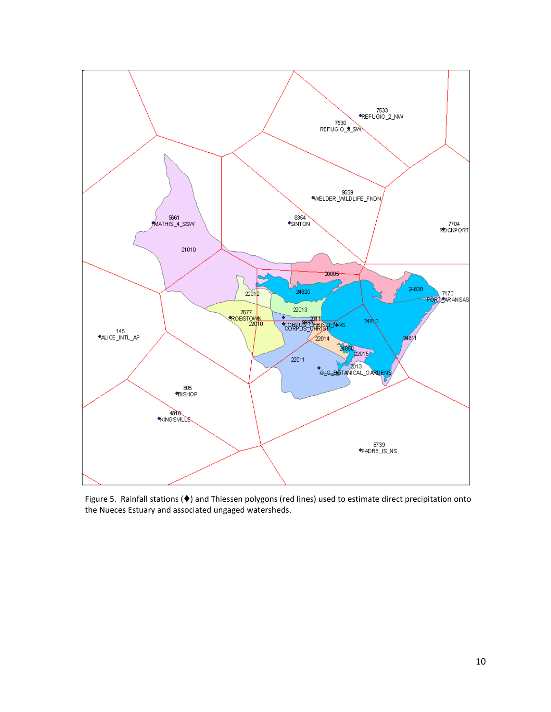

Figure 5. Rainfall stations ( $\blacklozenge$ ) and Thiessen polygons (red lines) used to estimate direct precipitation onto the Nueces Estuary and associated ungaged watersheds.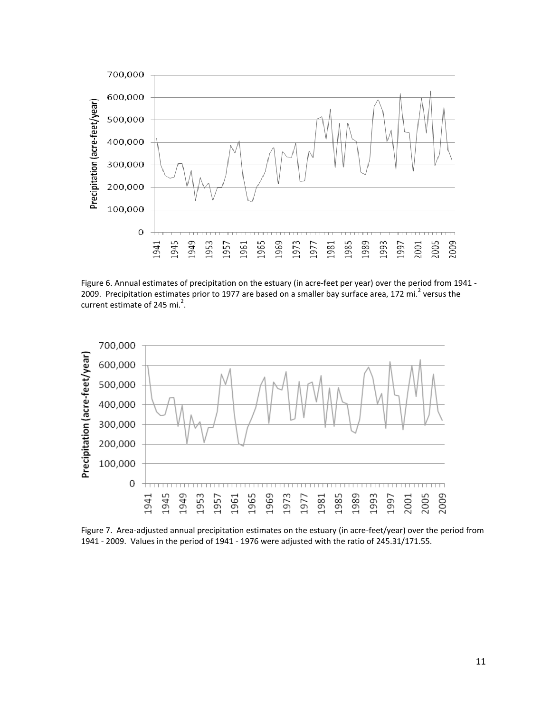

Figure 6. Annual estimates of precipitation on the estuary (in acre-feet per year) over the period from 1941 -2009. Precipitation estimates prior to 1977 are based on a smaller bay surface area, 172 mi.<sup>2</sup> versus the current estimate of 245 mi. $^2$ .



Figure 7. Area-adjusted annual precipitation estimates on the estuary (in acre-feet/year) over the period from 1941 - 2009. Values in the period of 1941 - 1976 were adjusted with the ratio of 245.31/171.55.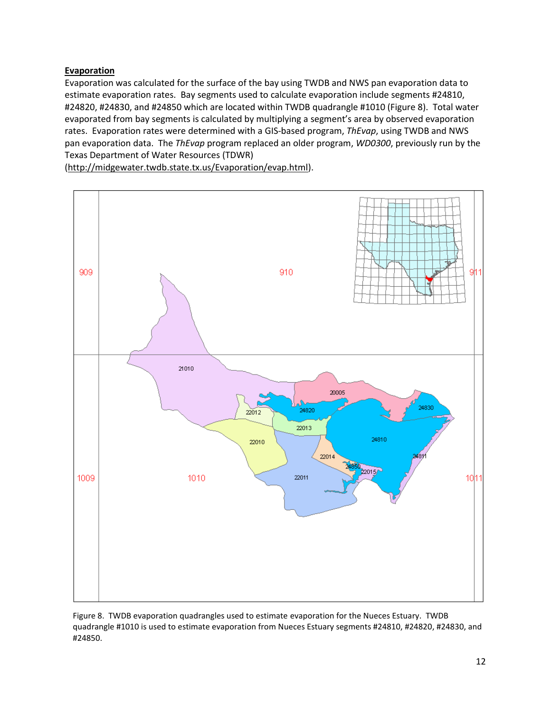# **Evaporation**

Evaporation was calculated for the surface of the bay using TWDB and NWS pan evaporation data to estimate evaporation rates. Bay segments used to calculate evaporation include segments #24810, #24820, #24830, and #24850 which are located within TWDB quadrangle #1010 (Figure 8). Total water evaporated from bay segments is calculated by multiplying a segment's area by observed evaporation rates. Evaporation rates were determined with a GIS-based program, *ThEvap*, using TWDB and NWS pan evaporation data. The *ThEvap* program replaced an older program, *WD0300*, previously run by the Texas Department of Water Resources (TDWR)

[\(http://midgewater.twdb.state.tx.us/Evaporation/evap.html\)](http://midgewater.twdb.state.tx.us/Evaporation/evap.html).



Figure 8. TWDB evaporation quadrangles used to estimate evaporation for the Nueces Estuary. TWDB quadrangle #1010 is used to estimate evaporation from Nueces Estuary segments #24810, #24820, #24830, and #24850.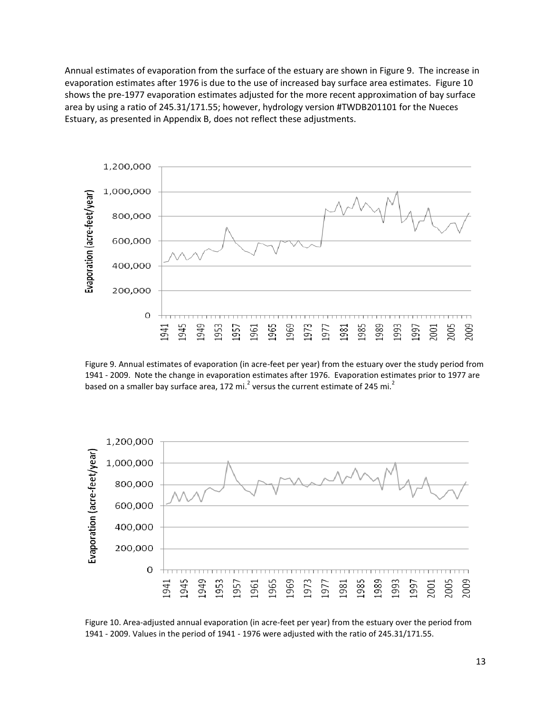Annual estimates of evaporation from the surface of the estuary are shown in Figure 9. The increase in evaporation estimates after 1976 is due to the use of increased bay surface area estimates. Figure 10 shows the pre-1977 evaporation estimates adjusted for the more recent approximation of bay surface area by using a ratio of 245.31/171.55; however, hydrology version #TWDB201101 for the Nueces Estuary, as presented in Appendix B, does not reflect these adjustments.



Figure 9. Annual estimates of evaporation (in acre-feet per year) from the estuary over the study period from 1941 - 2009. Note the change in evaporation estimates after 1976. Evaporation estimates prior to 1977 are based on a smaller bay surface area, 172 mi.<sup>2</sup> versus the current estimate of 245 mi.<sup>2</sup>



Figure 10. Area-adjusted annual evaporation (in acre-feet per year) from the estuary over the period from 1941 - 2009. Values in the period of 1941 - 1976 were adjusted with the ratio of 245.31/171.55.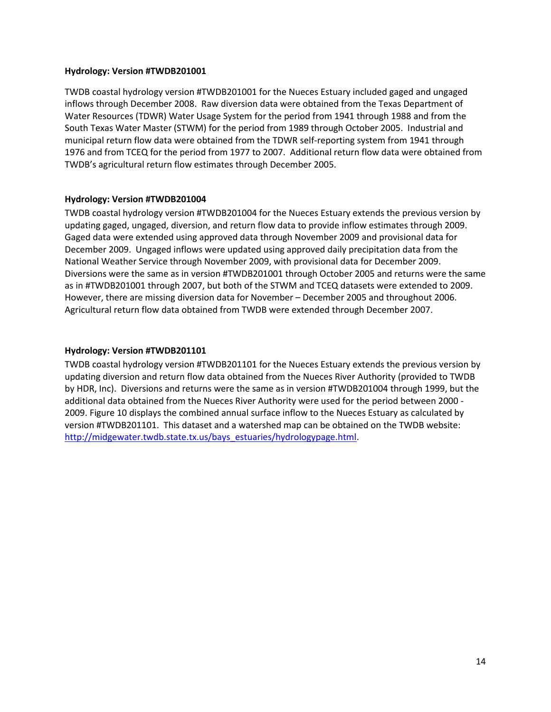#### **Hydrology: Version #TWDB201001**

TWDB coastal hydrology version #TWDB201001 for the Nueces Estuary included gaged and ungaged inflows through December 2008. Raw diversion data were obtained from the Texas Department of Water Resources (TDWR) Water Usage System for the period from 1941 through 1988 and from the South Texas Water Master (STWM) for the period from 1989 through October 2005. Industrial and municipal return flow data were obtained from the TDWR self-reporting system from 1941 through 1976 and from TCEQ for the period from 1977 to 2007. Additional return flow data were obtained from TWDB's agricultural return flow estimates through December 2005.

# **Hydrology: Version #TWDB201004**

TWDB coastal hydrology version #TWDB201004 for the Nueces Estuary extends the previous version by updating gaged, ungaged, diversion, and return flow data to provide inflow estimates through 2009. Gaged data were extended using approved data through November 2009 and provisional data for December 2009. Ungaged inflows were updated using approved daily precipitation data from the National Weather Service through November 2009, with provisional data for December 2009. Diversions were the same as in version #TWDB201001 through October 2005 and returns were the same as in #TWDB201001 through 2007, but both of the STWM and TCEQ datasets were extended to 2009. However, there are missing diversion data for November – December 2005 and throughout 2006. Agricultural return flow data obtained from TWDB were extended through December 2007.

## **Hydrology: Version #TWDB201101**

TWDB coastal hydrology version #TWDB201101 for the Nueces Estuary extends the previous version by updating diversion and return flow data obtained from the Nueces River Authority (provided to TWDB by HDR, Inc). Diversions and returns were the same as in version #TWDB201004 through 1999, but the additional data obtained from the Nueces River Authority were used for the period between 2000 - 2009. Figure 10 displays the combined annual surface inflow to the Nueces Estuary as calculated by version #TWDB201101. This dataset and a watershed map can be obtained on the TWDB website: [http://midgewater.twdb.state.tx.us/bays\\_estuaries/hydrologypage.html.](http://midgewater.twdb.state.tx.us/bays_estuaries/hydrologypage.html)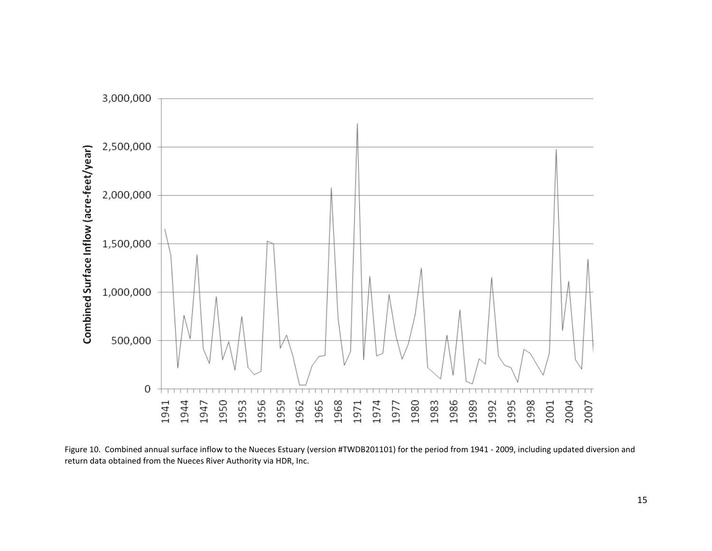

Figure 10. Combined annual surface inflow to the Nueces Estuary (version #TWDB201101) for the period from 1941 - 2009, including updated diversion and return data obtained from the Nueces River Authority via HDR, Inc.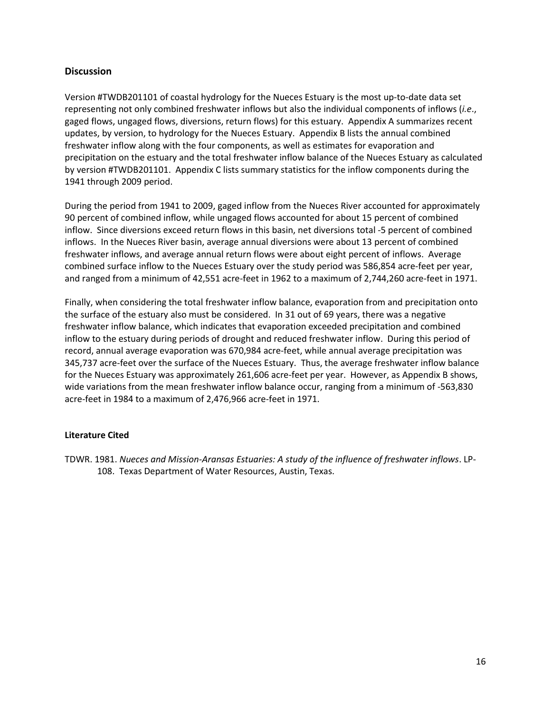# **Discussion**

Version #TWDB201101 of coastal hydrology for the Nueces Estuary is the most up-to-date data set representing not only combined freshwater inflows but also the individual components of inflows (*i.e*., gaged flows, ungaged flows, diversions, return flows) for this estuary.Appendix A summarizes recent updates, by version, to hydrology for the Nueces Estuary. Appendix B lists the annual combined freshwater inflow along with the four components, as well as estimates for evaporation and precipitation on the estuary and the total freshwater inflow balance of the Nueces Estuary as calculated by version #TWDB201101. Appendix C lists summary statistics for the inflow components during the 1941 through 2009 period.

During the period from 1941 to 2009, gaged inflow from the Nueces River accounted for approximately 90 percent of combined inflow, while ungaged flows accounted for about 15 percent of combined inflow. Since diversions exceed return flows in this basin, net diversions total -5 percent of combined inflows. In the Nueces River basin, average annual diversions were about 13 percent of combined freshwater inflows, and average annual return flows were about eight percent of inflows. Average combined surface inflow to the Nueces Estuary over the study period was 586,854 acre-feet per year, and ranged from a minimum of 42,551 acre-feet in 1962 to a maximum of 2,744,260 acre-feet in 1971.

Finally, when considering the total freshwater inflow balance, evaporation from and precipitation onto the surface of the estuary also must be considered. In 31 out of 69 years, there was a negative freshwater inflow balance, which indicates that evaporation exceeded precipitation and combined inflow to the estuary during periods of drought and reduced freshwater inflow. During this period of record, annual average evaporation was 670,984 acre-feet, while annual average precipitation was 345,737 acre-feet over the surface of the Nueces Estuary. Thus, the average freshwater inflow balance for the Nueces Estuary was approximately 261,606 acre-feet per year. However, as Appendix B shows, wide variations from the mean freshwater inflow balance occur, ranging from a minimum of -563,830 acre-feet in 1984 to a maximum of 2,476,966 acre-feet in 1971.

#### **Literature Cited**

TDWR. 1981. *Nueces and Mission-Aransas Estuaries: A study of the influence of freshwater inflows*. LP-108. Texas Department of Water Resources, Austin, Texas.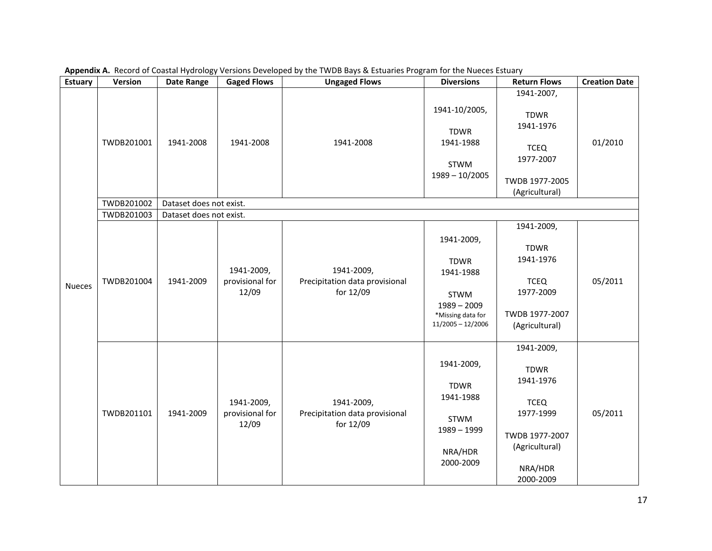| <b>Estuary</b> | Version                  | <b>Date Range</b>                    | <b>Gaged Flows</b>                     | <b>Ungaged Flows</b>                                      | <b>Diversions</b>                                                                                           | <b>Return Flows</b>                                                                                                            | <b>Creation Date</b> |
|----------------|--------------------------|--------------------------------------|----------------------------------------|-----------------------------------------------------------|-------------------------------------------------------------------------------------------------------------|--------------------------------------------------------------------------------------------------------------------------------|----------------------|
|                | TWDB201001               | 1941-2008                            | 1941-2008                              | 1941-2008                                                 | 1941-10/2005,<br><b>TDWR</b><br>1941-1988<br><b>STWM</b><br>$1989 - 10/2005$                                | 1941-2007,<br><b>TDWR</b><br>1941-1976<br><b>TCEQ</b><br>1977-2007<br>TWDB 1977-2005<br>(Agricultural)                         | 01/2010              |
|                | TWDB201002               | Dataset does not exist.              |                                        |                                                           |                                                                                                             |                                                                                                                                |                      |
| <b>Nueces</b>  | TWDB201003<br>TWDB201004 | Dataset does not exist.<br>1941-2009 | 1941-2009,<br>provisional for<br>12/09 | 1941-2009,<br>Precipitation data provisional<br>for 12/09 | 1941-2009,<br><b>TDWR</b><br>1941-1988<br>STWM<br>$1989 - 2009$<br>*Missing data for<br>$11/2005 - 12/2006$ | 1941-2009,<br><b>TDWR</b><br>1941-1976<br><b>TCEQ</b><br>1977-2009<br>TWDB 1977-2007<br>(Agricultural)                         | 05/2011              |
|                | TWDB201101               | 1941-2009                            | 1941-2009,<br>provisional for<br>12/09 | 1941-2009,<br>Precipitation data provisional<br>for 12/09 | 1941-2009,<br><b>TDWR</b><br>1941-1988<br><b>STWM</b><br>$1989 - 1999$<br>NRA/HDR<br>2000-2009              | 1941-2009,<br><b>TDWR</b><br>1941-1976<br><b>TCEQ</b><br>1977-1999<br>TWDB 1977-2007<br>(Agricultural)<br>NRA/HDR<br>2000-2009 | 05/2011              |

**Appendix A.** Record of Coastal Hydrology Versions Developed by the TWDB Bays & Estuaries Program for the Nueces Estuary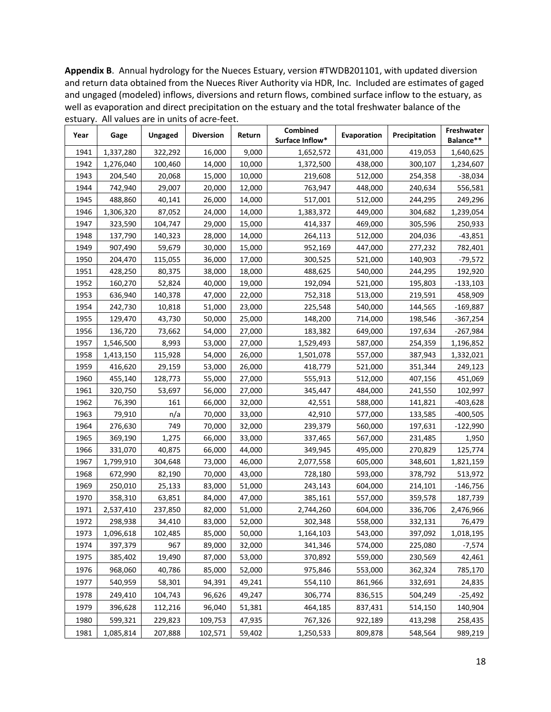**Appendix B**. Annual hydrology for the Nueces Estuary, version #TWDB201101, with updated diversion and return data obtained from the Nueces River Authority via HDR, Inc. Included are estimates of gaged and ungaged (modeled) inflows, diversions and return flows, combined surface inflow to the estuary, as well as evaporation and direct precipitation on the estuary and the total freshwater balance of the estuary. All values are in units of acre-feet.

| Year | Gage      | Ungaged | <b>Diversion</b> | Return | Combined<br>Surface Inflow* | <b>Evaporation</b> | Precipitation | Freshwater<br>Balance** |
|------|-----------|---------|------------------|--------|-----------------------------|--------------------|---------------|-------------------------|
| 1941 | 1,337,280 | 322,292 | 16,000           | 9,000  | 1,652,572                   | 419,053<br>431,000 |               | 1,640,625               |
| 1942 | 1,276,040 | 100,460 | 14,000           | 10,000 | 1,372,500                   | 438,000            | 300,107       | 1,234,607               |
| 1943 | 204,540   | 20,068  | 15,000           | 10,000 | 219,608                     | 512,000<br>254,358 |               | $-38,034$               |
| 1944 | 742,940   | 29,007  | 20,000           | 12,000 | 763,947                     | 448,000            | 240,634       | 556,581                 |
| 1945 | 488,860   | 40,141  | 26,000           | 14,000 | 517,001                     | 512,000            | 244,295       | 249,296                 |
| 1946 | 1,306,320 | 87,052  | 24,000           | 14,000 | 1,383,372                   | 449,000            | 304,682       | 1,239,054               |
| 1947 | 323,590   | 104,747 | 29,000           | 15,000 | 414,337                     | 469,000            | 305,596       | 250,933                 |
| 1948 | 137,790   | 140,323 | 28,000           | 14,000 | 264,113                     | 512,000            | 204,036       | $-43,851$               |
| 1949 | 907,490   | 59,679  | 30,000           | 15,000 | 952,169                     | 447,000            | 277,232       | 782,401                 |
| 1950 | 204,470   | 115,055 | 36,000           | 17,000 | 300,525                     | 521,000            | 140,903       | $-79,572$               |
| 1951 | 428,250   | 80,375  | 38,000           | 18,000 | 488,625                     | 540,000            | 244,295       | 192,920                 |
| 1952 | 160,270   | 52,824  | 40,000           | 19,000 | 192,094                     | 521,000            | 195,803       | $-133,103$              |
| 1953 | 636,940   | 140,378 | 47,000           | 22,000 | 752,318                     | 513,000            | 219,591       | 458,909                 |
| 1954 | 242,730   | 10,818  | 51,000           | 23,000 | 225,548                     | 540,000            | 144,565       | $-169,887$              |
| 1955 | 129,470   | 43,730  | 50,000           | 25,000 | 148,200                     | 714,000            | 198,546       | $-367,254$              |
| 1956 | 136,720   | 73,662  | 54,000           | 27,000 | 183,382                     | 649,000            | 197,634       | $-267,984$              |
| 1957 | 1,546,500 | 8,993   | 53,000           | 27,000 | 1,529,493                   | 587,000            | 254,359       | 1,196,852               |
| 1958 | 1,413,150 | 115,928 | 54,000           | 26,000 | 1,501,078                   | 557,000            | 387,943       | 1,332,021               |
| 1959 | 416,620   | 29,159  | 53,000           | 26,000 | 418,779                     | 521,000            | 351,344       | 249,123                 |
| 1960 | 455,140   | 128,773 | 55,000           | 27,000 | 555,913                     | 512,000            | 407,156       | 451,069                 |
| 1961 | 320,750   | 53,697  | 56,000           | 27,000 | 345,447                     | 484,000            | 241,550       | 102,997                 |
| 1962 | 76,390    | 161     | 66,000           | 32,000 | 42,551                      | 588,000            | 141,821       | $-403,628$              |
| 1963 | 79,910    | n/a     | 70,000           | 33,000 | 42,910                      | 577,000            | 133,585       | -400,505                |
| 1964 | 276,630   | 749     | 70,000           | 32,000 | 239,379                     | 560,000<br>197,631 |               | $-122,990$              |
| 1965 | 369,190   | 1,275   | 66,000           | 33,000 | 337,465                     | 567,000            | 231,485       | 1,950                   |
| 1966 | 331,070   | 40,875  | 66,000           | 44,000 | 349,945                     | 495,000            | 270,829       | 125,774                 |
| 1967 | 1,799,910 | 304,648 | 73,000           | 46,000 | 2,077,558                   | 605,000            | 348,601       | 1,821,159               |
| 1968 | 672,990   | 82,190  | 70,000           | 43,000 | 728,180                     | 593,000            | 378,792       | 513,972                 |
| 1969 | 250,010   | 25,133  | 83,000           | 51,000 | 243,143                     | 604,000            | 214,101       | $-146,756$              |
| 1970 | 358,310   | 63,851  | 84,000           | 47,000 | 385,161                     | 557,000            | 359,578       | 187,739                 |
| 1971 | 2,537,410 | 237,850 | 82,000           | 51,000 | 2,744,260                   | 604,000            | 336,706       | 2,476,966               |
| 1972 | 298,938   | 34,410  | 83,000           | 52,000 | 302,348                     | 558,000            | 332,131       | 76,479                  |
| 1973 | 1,096,618 | 102,485 | 85,000           | 50,000 | 1,164,103                   | 543,000            | 397,092       | 1,018,195               |
| 1974 | 397,379   | 967     | 89,000           | 32,000 | 341,346                     | 574,000            | 225,080       | $-7,574$                |
| 1975 | 385,402   | 19,490  | 87,000           | 53,000 | 370,892                     | 559,000            | 230,569       | 42,461                  |
| 1976 | 968,060   | 40,786  | 85,000           | 52,000 | 975,846                     | 553,000            | 362,324       | 785,170                 |
| 1977 | 540,959   | 58,301  | 94,391           | 49,241 | 554,110                     | 861,966            | 332,691       | 24,835                  |
| 1978 | 249,410   | 104,743 | 96,626           | 49,247 | 306,774                     | 836,515            | 504,249       | $-25,492$               |
| 1979 | 396,628   | 112,216 | 96,040           | 51,381 | 464,185                     | 837,431            | 514,150       | 140,904                 |
| 1980 | 599,321   | 229,823 | 109,753          | 47,935 | 767,326                     | 922,189            | 413,298       | 258,435                 |
| 1981 | 1,085,814 | 207,888 | 102,571          | 59,402 | 1,250,533                   | 809,878            | 548,564       | 989,219                 |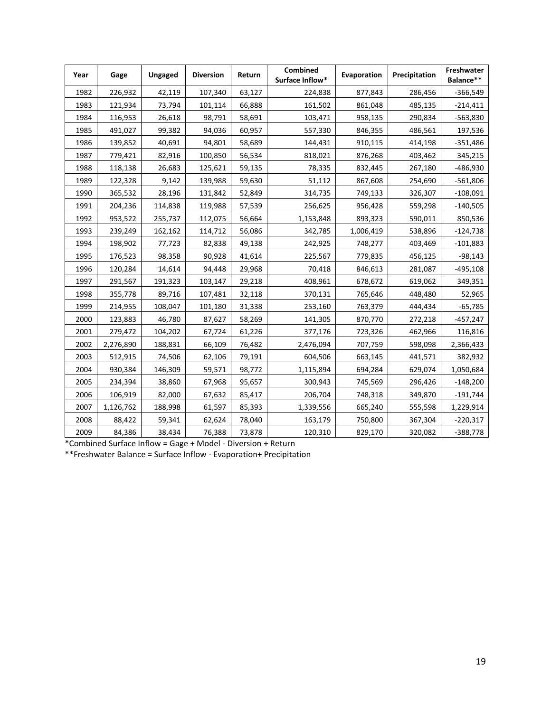| Year | Gage      | Ungaged | <b>Diversion</b> | Return | <b>Combined</b><br>Surface Inflow* | Evaporation        | Precipitation | Freshwater<br>Balance** |
|------|-----------|---------|------------------|--------|------------------------------------|--------------------|---------------|-------------------------|
| 1982 | 226,932   | 42,119  | 107,340          | 63,127 | 224,838                            | 877,843<br>286,456 |               | $-366,549$              |
| 1983 | 121,934   | 73,794  | 101,114          | 66,888 | 161,502                            | 861,048            | 485,135       | $-214,411$              |
| 1984 | 116,953   | 26,618  | 98,791           | 58,691 | 103,471                            | 958,135            | 290,834       | -563,830                |
| 1985 | 491,027   | 99,382  | 94,036           | 60,957 | 557,330                            | 846,355            | 486,561       | 197,536                 |
| 1986 | 139,852   | 40,691  | 94,801           | 58,689 | 144,431                            | 910,115            | 414,198       | $-351,486$              |
| 1987 | 779,421   | 82,916  | 100,850          | 56,534 | 818,021                            | 876,268            | 403,462       | 345,215                 |
| 1988 | 118,138   | 26,683  | 125,621          | 59,135 | 78,335                             | 832,445            | 267,180       | -486,930                |
| 1989 | 122,328   | 9,142   | 139,988          | 59,630 | 51,112                             | 867,608            | 254,690       | $-561,806$              |
| 1990 | 365,532   | 28,196  | 131,842          | 52,849 | 314,735                            | 749,133            | 326,307       | $-108,091$              |
| 1991 | 204,236   | 114,838 | 119,988          | 57,539 | 256,625                            | 956,428            | 559,298       | $-140,505$              |
| 1992 | 953,522   | 255,737 | 112,075          | 56,664 | 1,153,848                          | 893,323            | 590,011       | 850,536                 |
| 1993 | 239,249   | 162,162 | 114,712          | 56,086 | 342,785                            | 1,006,419          | 538,896       | $-124,738$              |
| 1994 | 198,902   | 77,723  | 82,838           | 49,138 | 242,925                            | 748,277            | 403,469       | $-101,883$              |
| 1995 | 176,523   | 98,358  | 90,928           | 41,614 | 225,567                            | 779,835            | 456,125       | $-98,143$               |
| 1996 | 120,284   | 14,614  | 94,448           | 29,968 | 70,418                             | 846,613            | 281,087       | $-495,108$              |
| 1997 | 291,567   | 191,323 | 103,147          | 29,218 | 408,961                            | 678,672            | 619,062       |                         |
| 1998 | 355,778   | 89,716  | 107,481          | 32,118 | 370,131                            | 765,646            | 448,480       | 52,965                  |
| 1999 | 214,955   | 108,047 | 101,180          | 31,338 | 253,160                            | 763,379            | 444,434       | $-65,785$               |
| 2000 | 123,883   | 46,780  | 87,627           | 58,269 | 141,305                            | 870,770            | 272,218       | -457,247                |
| 2001 | 279,472   | 104,202 | 67,724           | 61,226 | 377,176                            | 723,326            | 462,966       | 116,816                 |
| 2002 | 2,276,890 | 188,831 | 66,109           | 76,482 | 2,476,094                          | 707,759            | 598,098       | 2,366,433               |
| 2003 | 512,915   | 74,506  | 62,106           | 79,191 | 604,506                            | 663,145            | 441,571       | 382,932                 |
| 2004 | 930,384   | 146,309 | 59,571           | 98,772 | 1,115,894                          | 694,284            | 629,074       | 1,050,684               |
| 2005 | 234,394   | 38,860  | 67,968           | 95,657 | 300,943                            | 745,569            | 296,426       | $-148,200$              |
| 2006 | 106,919   | 82,000  | 67,632           | 85,417 | 206,704                            | 748,318            | 349,870       | $-191,744$              |
| 2007 | 1,126,762 | 188,998 | 61,597           | 85,393 | 1,339,556                          | 665,240            | 555,598       | 1,229,914               |
| 2008 | 88,422    | 59,341  | 62,624           | 78,040 | 163,179                            | 750,800            | 367,304       | $-220,317$              |
| 2009 | 84,386    | 38,434  | 76,388           | 73,878 | 120,310                            | 829,170            | 320,082       | $-388,778$              |

\*Combined Surface Inflow = Gage + Model - Diversion + Return

\*\*Freshwater Balance = Surface Inflow - Evaporation+ Precipitation